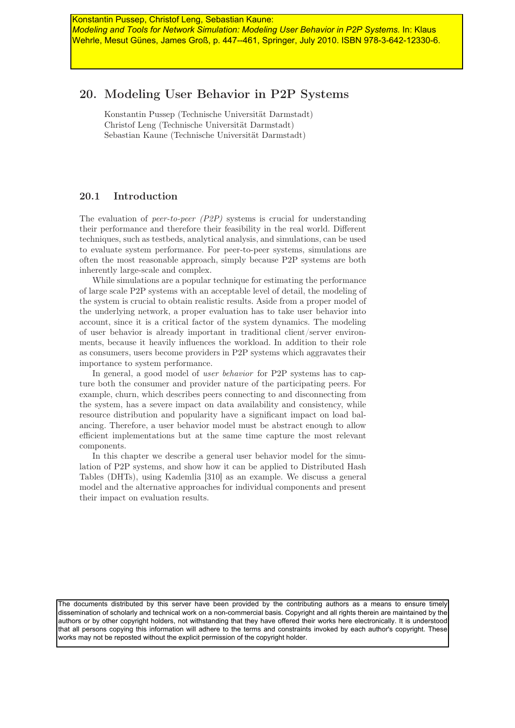Konstantin Pussep (Technische Universität Darmstadt) Christof Leng (Technische Universität Darmstadt) Sebastian Kaune (Technische Universität Darmstadt)

# 20.1 Introduction

The evaluation of *peer-to-peer*  $(P2P)$  systems is crucial for understanding their performance and therefore their feasibility in the real world. Different techniques, such as testbeds, analytical analysis, and simulations, can be used to evaluate system performance. For peer-to-peer systems, simulations are often the most reasonable approach, simply because P2P systems are both inherently large-scale and complex.

While simulations are a popular technique for estimating the performance of large scale P2P systems with an acceptable level of detail, the modeling of the system is crucial to obtain realistic results. Aside from a proper model of the underlying network, a proper evaluation has to take user behavior into account, since it is a critical factor of the system dynamics. The modeling of user behavior is already important in traditional client/server environments, because it heavily influences the workload. In addition to their role as consumers, users become providers in P2P systems which aggravates their importance to system performance.

In general, a good model of *user behavior* for P2P systems has to capture both the consumer and provider nature of the participating peers. For example, churn, which describes peers connecting to and disconnecting from the system, has a severe impact on data availability and consistency, while resource distribution and popularity have a significant impact on load balancing. Therefore, a user behavior model must be abstract enough to allow efficient implementations but at the same time capture the most relevant components.

In this chapter we describe a general user behavior model for the simulation of P2P systems, and show how it can be applied to Distributed Hash Tables (DHTs), using Kademlia [310] as an example. We discuss a general model and the alternative approaches for individual components and present their impact on evaluation results.

The documents distributed by this server have been provided by the contributing authors as a means to ensure timely dissemination of scholarly and technical work on a non-commercial basis. Copyright and all rights therein are maintained by the authors or by other copyright holders, not withstanding that they have offered their works here electronically. It is understood that all persons copying this information will adhere to the terms and constraints invoked by each author's copyright. These works may not be reposted without the explicit permission of the copyright holder.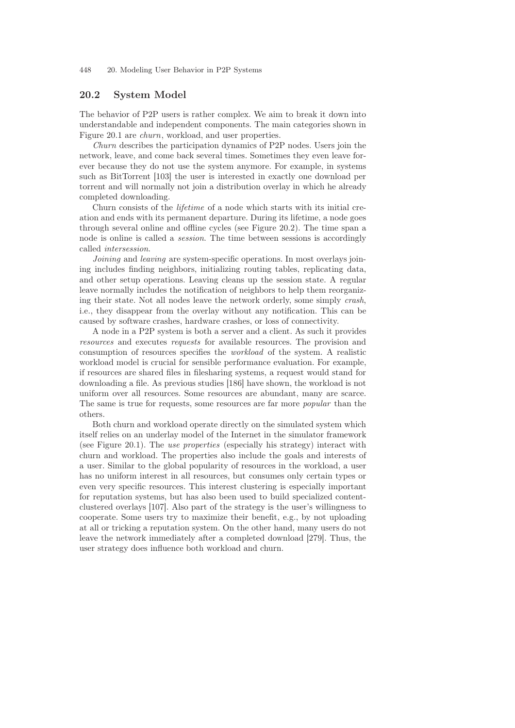### 20.2 System Model

The behavior of P2P users is rather complex. We aim to break it down into understandable and independent components. The main categories shown in Figure 20.1 are churn, workload, and user properties.

Churn describes the participation dynamics of P2P nodes. Users join the network, leave, and come back several times. Sometimes they even leave forever because they do not use the system anymore. For example, in systems such as BitTorrent [103] the user is interested in exactly one download per torrent and will normally not join a distribution overlay in which he already completed downloading.

Churn consists of the *lifetime* of a node which starts with its initial creation and ends with its permanent departure. During its lifetime, a node goes through several online and offline cycles (see Figure 20.2). The time span a node is online is called a session. The time between sessions is accordingly called intersession.

Joining and leaving are system-specific operations. In most overlays joining includes finding neighbors, initializing routing tables, replicating data, and other setup operations. Leaving cleans up the session state. A regular leave normally includes the notification of neighbors to help them reorganizing their state. Not all nodes leave the network orderly, some simply crash, i.e., they disappear from the overlay without any notification. This can be caused by software crashes, hardware crashes, or loss of connectivity.

A node in a P2P system is both a server and a client. As such it provides resources and executes requests for available resources. The provision and consumption of resources specifies the workload of the system. A realistic workload model is crucial for sensible performance evaluation. For example, if resources are shared files in filesharing systems, a request would stand for downloading a file. As previous studies [186] have shown, the workload is not uniform over all resources. Some resources are abundant, many are scarce. The same is true for requests, some resources are far more popular than the others.

Both churn and workload operate directly on the simulated system which itself relies on an underlay model of the Internet in the simulator framework (see Figure 20.1). The use properties (especially his strategy) interact with churn and workload. The properties also include the goals and interests of a user. Similar to the global popularity of resources in the workload, a user has no uniform interest in all resources, but consumes only certain types or even very specific resources. This interest clustering is especially important for reputation systems, but has also been used to build specialized contentclustered overlays [107]. Also part of the strategy is the user's willingness to cooperate. Some users try to maximize their benefit, e.g., by not uploading at all or tricking a reputation system. On the other hand, many users do not leave the network immediately after a completed download [279]. Thus, the user strategy does influence both workload and churn.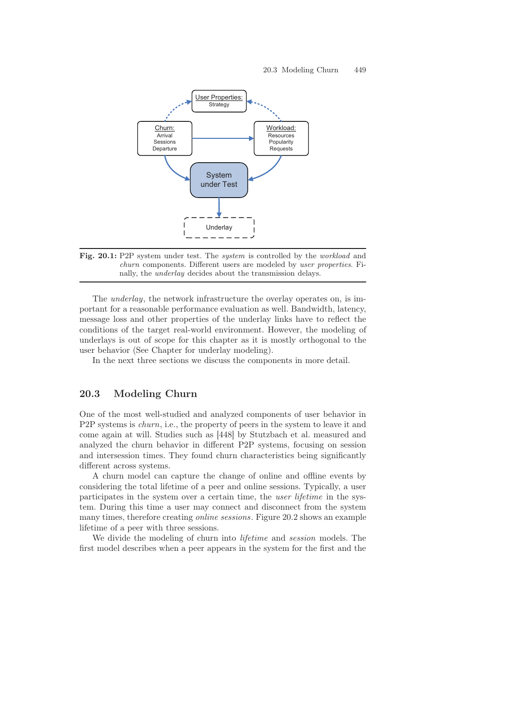



The *underlay*, the network infrastructure the overlay operates on, is important for a reasonable performance evaluation as well. Bandwidth, latency, message loss and other properties of the underlay links have to reflect the conditions of the target real-world environment. However, the modeling of underlays is out of scope for this chapter as it is mostly orthogonal to the user behavior (See Chapter for underlay modeling).

In the next three sections we discuss the components in more detail.

# 20.3 Modeling Churn

One of the most well-studied and analyzed components of user behavior in P2P systems is churn, i.e., the property of peers in the system to leave it and come again at will. Studies such as [448] by Stutzbach et al. measured and analyzed the churn behavior in different P2P systems, focusing on session and intersession times. They found churn characteristics being significantly different across systems.

A churn model can capture the change of online and offline events by considering the total lifetime of a peer and online sessions. Typically, a user participates in the system over a certain time, the user lifetime in the system. During this time a user may connect and disconnect from the system many times, therefore creating online sessions. Figure 20.2 shows an example lifetime of a peer with three sessions.

We divide the modeling of churn into lifetime and session models. The first model describes when a peer appears in the system for the first and the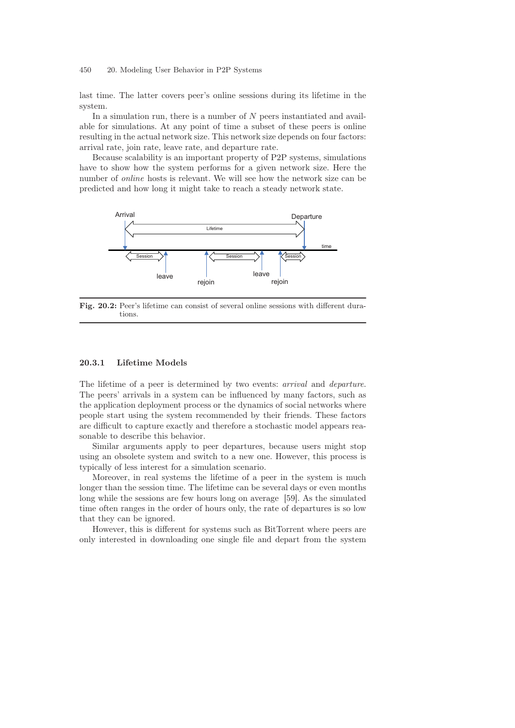last time. The latter covers peer's online sessions during its lifetime in the system.

In a simulation run, there is a number of  $N$  peers instantiated and available for simulations. At any point of time a subset of these peers is online resulting in the actual network size. This network size depends on four factors: arrival rate, join rate, leave rate, and departure rate.

Because scalability is an important property of P2P systems, simulations have to show how the system performs for a given network size. Here the number of online hosts is relevant. We will see how the network size can be predicted and how long it might take to reach a steady network state.



Fig. 20.2: Peer's lifetime can consist of several online sessions with different durations.

#### 20.3.1 Lifetime Models

The lifetime of a peer is determined by two events: arrival and departure. The peers' arrivals in a system can be influenced by many factors, such as the application deployment process or the dynamics of social networks where people start using the system recommended by their friends. These factors are difficult to capture exactly and therefore a stochastic model appears reasonable to describe this behavior.

Similar arguments apply to peer departures, because users might stop using an obsolete system and switch to a new one. However, this process is typically of less interest for a simulation scenario.

Moreover, in real systems the lifetime of a peer in the system is much longer than the session time. The lifetime can be several days or even months long while the sessions are few hours long on average [59]. As the simulated time often ranges in the order of hours only, the rate of departures is so low that they can be ignored.

However, this is different for systems such as BitTorrent where peers are only interested in downloading one single file and depart from the system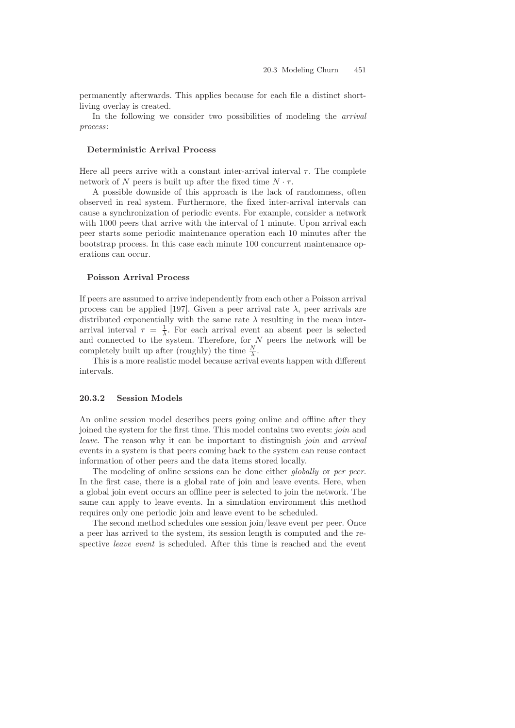permanently afterwards. This applies because for each file a distinct shortliving overlay is created.

In the following we consider two possibilities of modeling the *arrival* process:

#### Deterministic Arrival Process

Here all peers arrive with a constant inter-arrival interval  $\tau$ . The complete network of N peers is built up after the fixed time  $N \cdot \tau$ .

A possible downside of this approach is the lack of randomness, often observed in real system. Furthermore, the fixed inter-arrival intervals can cause a synchronization of periodic events. For example, consider a network with 1000 peers that arrive with the interval of 1 minute. Upon arrival each peer starts some periodic maintenance operation each 10 minutes after the bootstrap process. In this case each minute 100 concurrent maintenance operations can occur.

#### Poisson Arrival Process

If peers are assumed to arrive independently from each other a Poisson arrival process can be applied [197]. Given a peer arrival rate  $\lambda$ , peer arrivals are distributed exponentially with the same rate  $\lambda$  resulting in the mean interarrival interval  $\tau = \frac{1}{\lambda}$ . For each arrival event an absent peer is selected and connected to the system. Therefore, for  $N$  peers the network will be completely built up after (roughly) the time  $\frac{N}{\lambda}$ .

This is a more realistic model because arrival events happen with different intervals.

#### 20.3.2 Session Models

An online session model describes peers going online and offline after they joined the system for the first time. This model contains two events: join and leave. The reason why it can be important to distinguish *join* and *arrival* events in a system is that peers coming back to the system can reuse contact information of other peers and the data items stored locally.

The modeling of online sessions can be done either *globally* or *per peer*. In the first case, there is a global rate of join and leave events. Here, when a global join event occurs an offline peer is selected to join the network. The same can apply to leave events. In a simulation environment this method requires only one periodic join and leave event to be scheduled.

The second method schedules one session join/leave event per peer. Once a peer has arrived to the system, its session length is computed and the respective leave event is scheduled. After this time is reached and the event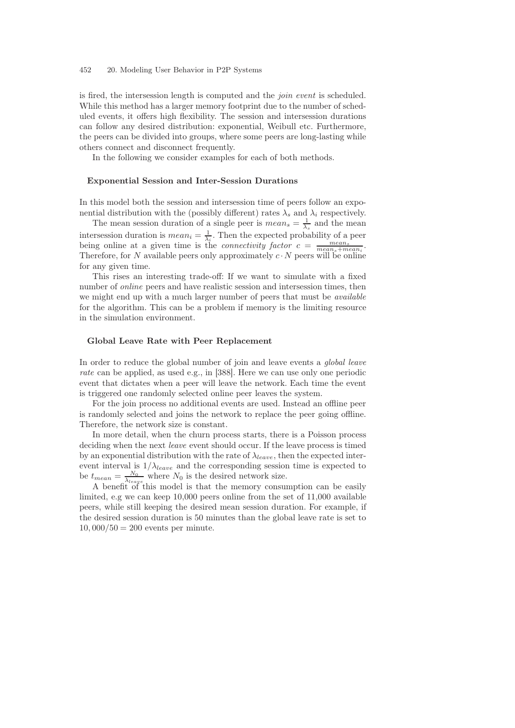is fired, the intersession length is computed and the *join event* is scheduled. While this method has a larger memory footprint due to the number of scheduled events, it offers high flexibility. The session and intersession durations can follow any desired distribution: exponential, Weibull etc. Furthermore, the peers can be divided into groups, where some peers are long-lasting while others connect and disconnect frequently.

In the following we consider examples for each of both methods.

#### Exponential Session and Inter-Session Durations

In this model both the session and intersession time of peers follow an exponential distribution with the (possibly different) rates  $\lambda_s$  and  $\lambda_i$  respectively.

The mean session duration of a single peer is  $mean_s = \frac{1}{\lambda_s}$  and the mean intersession duration is  $mean_i = \frac{1}{\lambda_i}$ . Then the expected probability of a peer being online at a given time is the *connectivity factor*  $c = \frac{mean_s}{mean_s + mean_i}$ . Therefore, for  $N$  available peers only approximately  $c \cdot N$  peers will be online for any given time.

This rises an interesting trade-off: If we want to simulate with a fixed number of *online* peers and have realistic session and intersession times, then we might end up with a much larger number of peers that must be available for the algorithm. This can be a problem if memory is the limiting resource in the simulation environment.

#### Global Leave Rate with Peer Replacement

In order to reduce the global number of join and leave events a *global leave* rate can be applied, as used e.g., in [388]. Here we can use only one periodic event that dictates when a peer will leave the network. Each time the event is triggered one randomly selected online peer leaves the system.

For the join process no additional events are used. Instead an offline peer is randomly selected and joins the network to replace the peer going offline. Therefore, the network size is constant.

In more detail, when the churn process starts, there is a Poisson process deciding when the next *leave* event should occur. If the leave process is timed by an exponential distribution with the rate of  $\lambda_{leave}$ , then the expected interevent interval is  $1/\lambda_{leave}$  and the corresponding session time is expected to be  $t_{mean} = \frac{N_0}{\lambda_{leaye}}$  where  $N_0$  is the desired network size.

A benefit of this model is that the memory consumption can be easily limited, e.g we can keep 10,000 peers online from the set of 11,000 available peers, while still keeping the desired mean session duration. For example, if the desired session duration is 50 minutes than the global leave rate is set to  $10,000/50 = 200$  events per minute.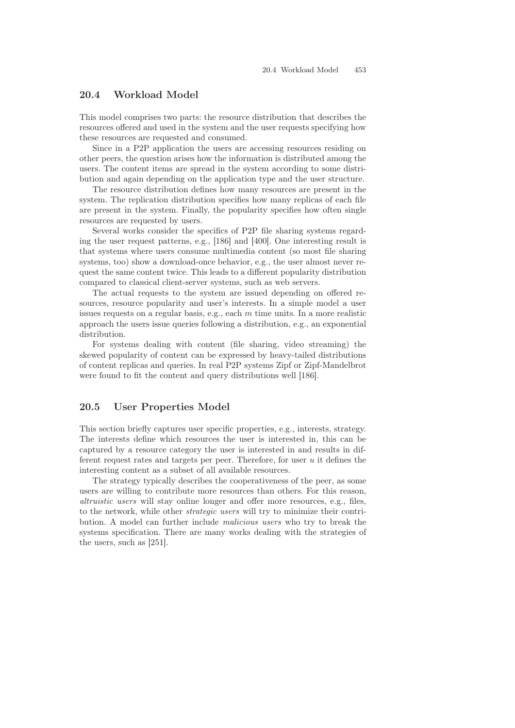## 20.4 Workload Model

This model comprises two parts: the resource distribution that describes the resources offered and used in the system and the user requests specifying how these resources are requested and consumed.

Since in a P2P application the users are accessing resources residing on other peers, the question arises how the information is distributed among the users. The content items are spread in the system according to some distribution and again depending on the application type and the user structure.

The resource distribution defines how many resources are present in the system. The replication distribution specifies how many replicas of each file are present in the system. Finally, the popularity specifies how often single resources are requested by users.

Several works consider the specifics of P2P file sharing systems regarding the user request patterns, e.g., [186] and [400]. One interesting result is that systems where users consume multimedia content (so most file sharing systems, too) show a download-once behavior, e.g., the user almost never request the same content twice. This leads to a different popularity distribution compared to classical client-server systems, such as web servers.

The actual requests to the system are issued depending on offered resources, resource popularity and user's interests. In a simple model a user issues requests on a regular basis, e.g., each m time units. In a more realistic approach the users issue queries following a distribution, e.g., an exponential distribution.

For systems dealing with content (file sharing, video streaming) the skewed popularity of content can be expressed by heavy-tailed distributions of content replicas and queries. In real P2P systems Zipf or Zipf-Mandelbrot were found to fit the content and query distributions well [186].

### 20.5 User Properties Model

This section briefly captures user specific properties, e.g., interests, strategy. The interests define which resources the user is interested in, this can be captured by a resource category the user is interested in and results in different request rates and targets per peer. Therefore, for user  $u$  it defines the interesting content as a subset of all available resources.

The strategy typically describes the cooperativeness of the peer, as some users are willing to contribute more resources than others. For this reason, altruistic users will stay online longer and offer more resources, e.g., files, to the network, while other strategic users will try to minimize their contribution. A model can further include malicious users who try to break the systems specification. There are many works dealing with the strategies of the users, such as [251].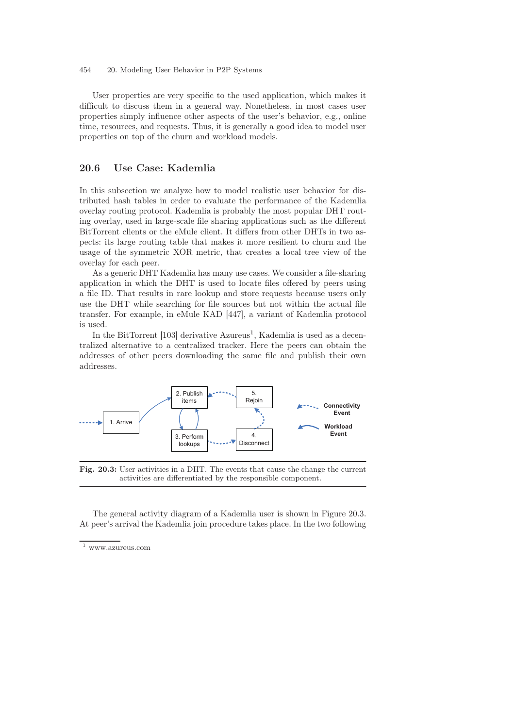User properties are very specific to the used application, which makes it difficult to discuss them in a general way. Nonetheless, in most cases user properties simply influence other aspects of the user's behavior, e.g., online time, resources, and requests. Thus, it is generally a good idea to model user properties on top of the churn and workload models.

# 20.6 Use Case: Kademlia

In this subsection we analyze how to model realistic user behavior for distributed hash tables in order to evaluate the performance of the Kademlia overlay routing protocol. Kademlia is probably the most popular DHT routing overlay, used in large-scale file sharing applications such as the different BitTorrent clients or the eMule client. It differs from other DHTs in two aspects: its large routing table that makes it more resilient to churn and the usage of the symmetric XOR metric, that creates a local tree view of the overlay for each peer.

As a generic DHT Kademlia has many use cases. We consider a file-sharing application in which the DHT is used to locate files offered by peers using a file ID. That results in rare lookup and store requests because users only use the DHT while searching for file sources but not within the actual file transfer. For example, in eMule KAD [447], a variant of Kademlia protocol is used.

In the BitTorrent  $[103]$  derivative Azureus<sup>1</sup>, Kademlia is used as a decentralized alternative to a centralized tracker. Here the peers can obtain the addresses of other peers downloading the same file and publish their own addresses.



Fig. 20.3: User activities in a DHT. The events that cause the change the current activities are differentiated by the responsible component.

The general activity diagram of a Kademlia user is shown in Figure 20.3. At peer's arrival the Kademlia join procedure takes place. In the two following

 $^{\rm 1}$ www.azureus.com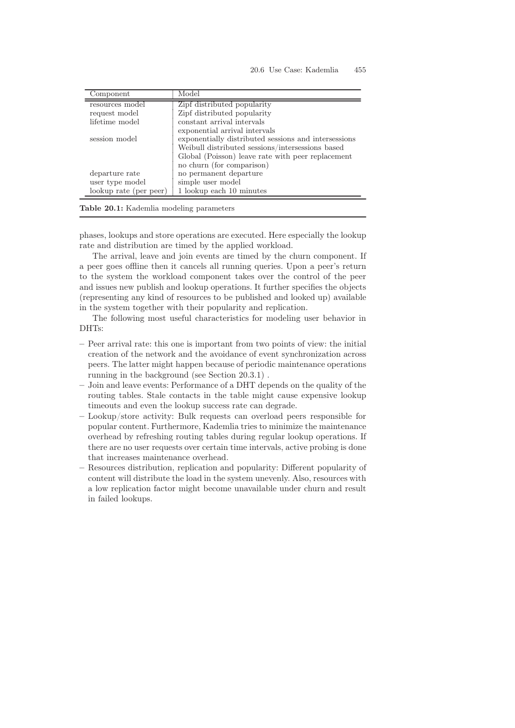| Component              | Model                                                |  |
|------------------------|------------------------------------------------------|--|
| resources model        | Zipf distributed popularity                          |  |
| request model          | Zipf distributed popularity                          |  |
| lifetime model         | constant arrival intervals                           |  |
|                        | exponential arrival intervals                        |  |
| session model          | exponentially distributed sessions and intersessions |  |
|                        | Weibull distributed sessions/intersessions based     |  |
|                        | Global (Poisson) leave rate with peer replacement    |  |
|                        | no churn (for comparison)                            |  |
| departure rate         | no permanent departure                               |  |
| user type model        | simple user model                                    |  |
| lookup rate (per peer) | 1 lookup each 10 minutes                             |  |

#### Table 20.1: Kademlia modeling parameters

phases, lookups and store operations are executed. Here especially the lookup rate and distribution are timed by the applied workload.

The arrival, leave and join events are timed by the churn component. If a peer goes offline then it cancels all running queries. Upon a peer's return to the system the workload component takes over the control of the peer and issues new publish and lookup operations. It further specifies the objects (representing any kind of resources to be published and looked up) available in the system together with their popularity and replication.

The following most useful characteristics for modeling user behavior in DHTs:

- Peer arrival rate: this one is important from two points of view: the initial creation of the network and the avoidance of event synchronization across peers. The latter might happen because of periodic maintenance operations running in the background (see Section 20.3.1) .
- Join and leave events: Performance of a DHT depends on the quality of the routing tables. Stale contacts in the table might cause expensive lookup timeouts and even the lookup success rate can degrade.
- Lookup/store activity: Bulk requests can overload peers responsible for popular content. Furthermore, Kademlia tries to minimize the maintenance overhead by refreshing routing tables during regular lookup operations. If there are no user requests over certain time intervals, active probing is done that increases maintenance overhead.
- Resources distribution, replication and popularity: Different popularity of content will distribute the load in the system unevenly. Also, resources with a low replication factor might become unavailable under churn and result in failed lookups.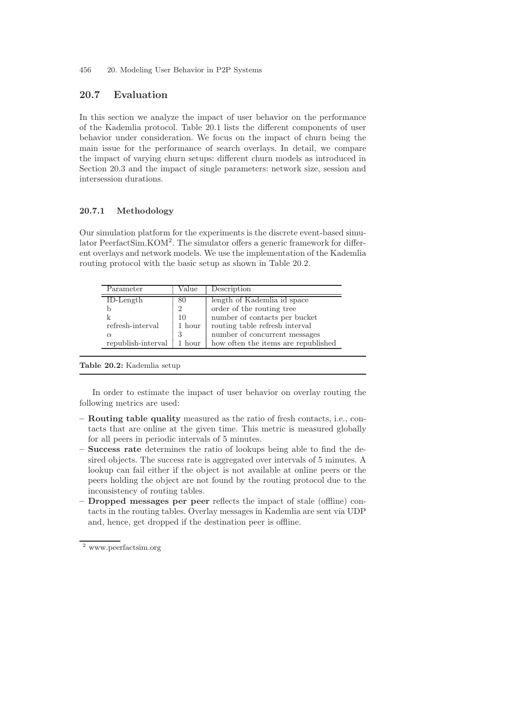## 20.7 Evaluation

In this section we analyze the impact of user behavior on the performance of the Kademlia protocol. Table 20.1 lists the different components of user behavior under consideration. We focus on the impact of churn being the main issue for the performance of search overlays. In detail, we compare the impact of varying churn setups: different churn models as introduced in Section 20.3 and the impact of single parameters: network size, session and intersession durations.

### 20.7.1 Methodology

Our simulation platform for the experiments is the discrete event-based simulator PeerfactSim.KOM2. The simulator offers a generic framework for different overlays and network models. We use the implementation of the Kademlia routing protocol with the basic setup as shown in Table 20.2.

| Parameter          | Value          | Description                         |
|--------------------|----------------|-------------------------------------|
| $ID$ -Length       | 80             | length of Kademlia id space         |
| b                  | $\overline{2}$ | order of the routing tree           |
| k                  | 10             | number of contacts per bucket       |
| refresh-interval   | 1 hour         | routing table refresh interval      |
| $\alpha$           | 3              | number of concurrent messages       |
| republish-interval | hour           | how often the items are republished |

Table 20.2: Kademlia setup

In order to estimate the impact of user behavior on overlay routing the following metrics are used:

- Routing table quality measured as the ratio of fresh contacts, i.e., contacts that are online at the given time. This metric is measured globally for all peers in periodic intervals of 5 minutes.
- Success rate determines the ratio of lookups being able to find the desired objects. The success rate is aggregated over intervals of 5 minutes. A lookup can fail either if the object is not available at online peers or the peers holding the object are not found by the routing protocol due to the inconsistency of routing tables.
- Dropped messages per peer reflects the impact of stale (offline) contacts in the routing tables. Overlay messages in Kademlia are sent via UDP and, hence, get dropped if the destination peer is offline.

<sup>2</sup> www.peerfactsim.org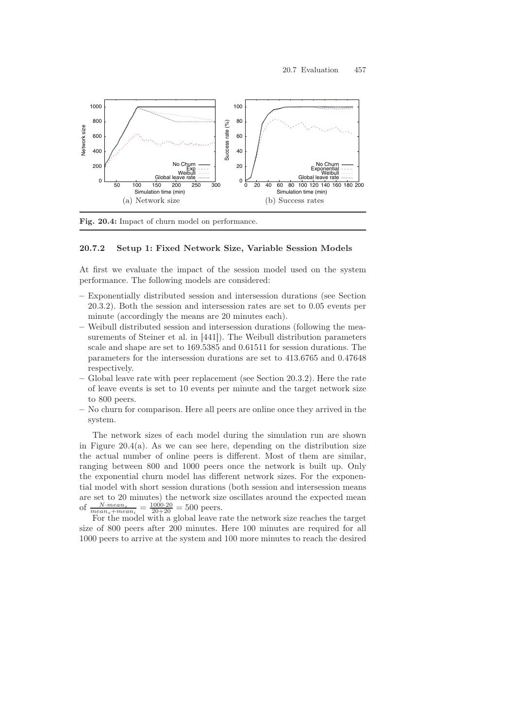

Fig. 20.4: Impact of churn model on performance.

#### 20.7.2 Setup 1: Fixed Network Size, Variable Session Models

At first we evaluate the impact of the session model used on the system performance. The following models are considered:

- Exponentially distributed session and intersession durations (see Section 20.3.2). Both the session and intersession rates are set to 0.05 events per minute (accordingly the means are 20 minutes each).
- Weibull distributed session and intersession durations (following the measurements of Steiner et al. in [441]). The Weibull distribution parameters scale and shape are set to 169.5385 and 0.61511 for session durations. The parameters for the intersession durations are set to 413.6765 and 0.47648 respectively.
- Global leave rate with peer replacement (see Section 20.3.2). Here the rate of leave events is set to 10 events per minute and the target network size to 800 peers.
- No churn for comparison. Here all peers are online once they arrived in the system.

The network sizes of each model during the simulation run are shown in Figure 20.4(a). As we can see here, depending on the distribution size the actual number of online peers is different. Most of them are similar, ranging between 800 and 1000 peers once the network is built up. Only the exponential churn model has different network sizes. For the exponential model with short session durations (both session and intersession means are set to 20 minutes) the network size oscillates around the expected mean of  $\frac{N \cdot mean_s}{mean_s + mean_i} = \frac{1000 \cdot 20}{20 + 20} = 500$  peers.

For the model with a global leave rate the network size reaches the target size of 800 peers after 200 minutes. Here 100 minutes are required for all 1000 peers to arrive at the system and 100 more minutes to reach the desired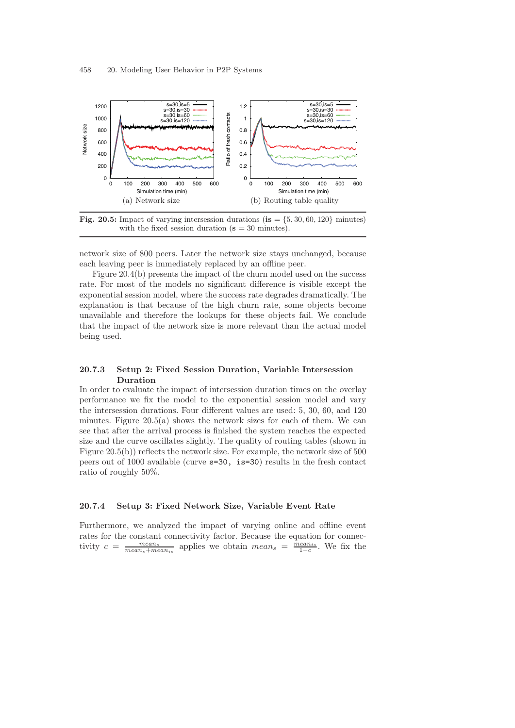

**Fig. 20.5:** Impact of varying intersession durations (is  $= \{5, 30, 60, 120\}$  minutes) with the fixed session duration  $(s = 30 \text{ minutes}).$ 

network size of 800 peers. Later the network size stays unchanged, because each leaving peer is immediately replaced by an offline peer.

Figure 20.4(b) presents the impact of the churn model used on the success rate. For most of the models no significant difference is visible except the exponential session model, where the success rate degrades dramatically. The explanation is that because of the high churn rate, some objects become unavailable and therefore the lookups for these objects fail. We conclude that the impact of the network size is more relevant than the actual model being used.

### 20.7.3 Setup 2: Fixed Session Duration, Variable Intersession Duration

In order to evaluate the impact of intersession duration times on the overlay performance we fix the model to the exponential session model and vary the intersession durations. Four different values are used: 5, 30, 60, and 120 minutes. Figure 20.5(a) shows the network sizes for each of them. We can see that after the arrival process is finished the system reaches the expected size and the curve oscillates slightly. The quality of routing tables (shown in Figure 20.5(b)) reflects the network size. For example, the network size of 500 peers out of 1000 available (curve s=30, is=30) results in the fresh contact ratio of roughly 50%.

### 20.7.4 Setup 3: Fixed Network Size, Variable Event Rate

Furthermore, we analyzed the impact of varying online and offline event rates for the constant connectivity factor. Because the equation for connectivity  $c = \frac{mean_s}{mean_s + mean_{is}}$  applies we obtain  $mean_s = \frac{mean_{is}}{1-c}$ . We fix the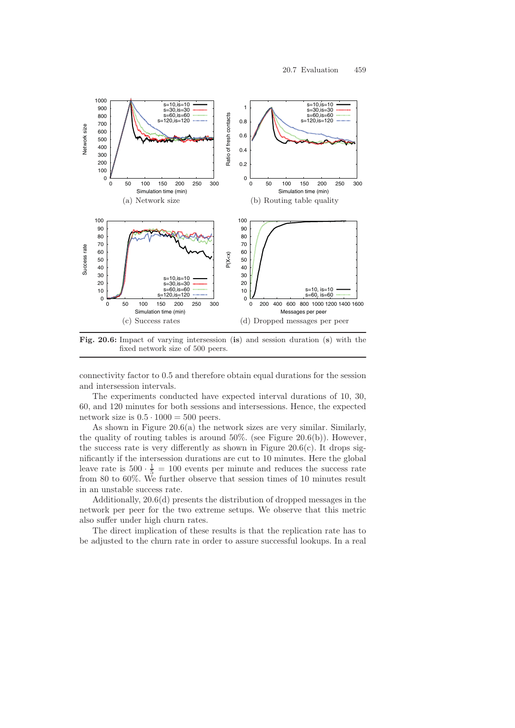

Fig. 20.6: Impact of varying intersession (is) and session duration (s) with the fixed network size of 500 peers.

connectivity factor to 0.5 and therefore obtain equal durations for the session and intersession intervals.

The experiments conducted have expected interval durations of 10, 30, 60, and 120 minutes for both sessions and intersessions. Hence, the expected network size is  $0.5 \cdot 1000 = 500$  peers.

As shown in Figure 20.6(a) the network sizes are very similar. Similarly, the quality of routing tables is around  $50\%$ . (see Figure 20.6(b)). However, the success rate is very differently as shown in Figure  $20.6(c)$ . It drops significantly if the intersession durations are cut to 10 minutes. Here the global leave rate is  $500 \cdot \frac{1}{5} = 100$  events per minute and reduces the success rate from 80 to 60%. We further observe that session times of 10 minutes result in an unstable success rate.

Additionally, 20.6(d) presents the distribution of dropped messages in the network per peer for the two extreme setups. We observe that this metric also suffer under high churn rates.

The direct implication of these results is that the replication rate has to be adjusted to the churn rate in order to assure successful lookups. In a real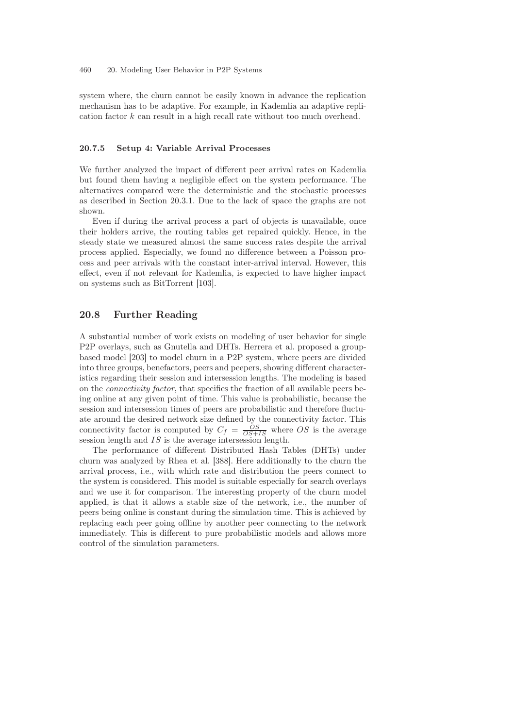system where, the churn cannot be easily known in advance the replication mechanism has to be adaptive. For example, in Kademlia an adaptive replication factor  $k$  can result in a high recall rate without too much overhead.

### 20.7.5 Setup 4: Variable Arrival Processes

We further analyzed the impact of different peer arrival rates on Kademlia but found them having a negligible effect on the system performance. The alternatives compared were the deterministic and the stochastic processes as described in Section 20.3.1. Due to the lack of space the graphs are not shown.

Even if during the arrival process a part of objects is unavailable, once their holders arrive, the routing tables get repaired quickly. Hence, in the steady state we measured almost the same success rates despite the arrival process applied. Especially, we found no difference between a Poisson process and peer arrivals with the constant inter-arrival interval. However, this effect, even if not relevant for Kademlia, is expected to have higher impact on systems such as BitTorrent [103].

### 20.8 Further Reading

A substantial number of work exists on modeling of user behavior for single P2P overlays, such as Gnutella and DHTs. Herrera et al. proposed a groupbased model [203] to model churn in a P2P system, where peers are divided into three groups, benefactors, peers and peepers, showing different characteristics regarding their session and intersession lengths. The modeling is based on the connectivity factor, that specifies the fraction of all available peers being online at any given point of time. This value is probabilistic, because the session and intersession times of peers are probabilistic and therefore fluctuate around the desired network size defined by the connectivity factor. This connectivity factor is computed by  $C_f = \frac{OS}{OS+IS}$  where OS is the average session length and  $IS$  is the average intersession length.

The performance of different Distributed Hash Tables (DHTs) under churn was analyzed by Rhea et al. [388]. Here additionally to the churn the arrival process, i.e., with which rate and distribution the peers connect to the system is considered. This model is suitable especially for search overlays and we use it for comparison. The interesting property of the churn model applied, is that it allows a stable size of the network, i.e., the number of peers being online is constant during the simulation time. This is achieved by replacing each peer going offline by another peer connecting to the network immediately. This is different to pure probabilistic models and allows more control of the simulation parameters.